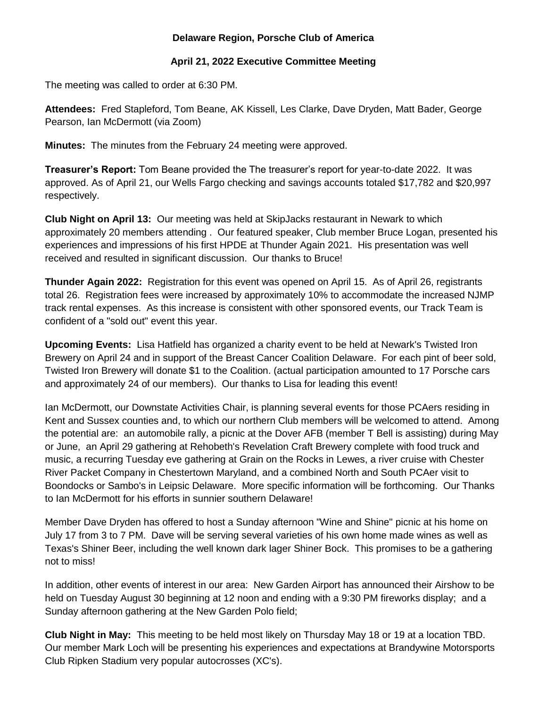## **Delaware Region, Porsche Club of America**

## **April 21, 2022 Executive Committee Meeting**

The meeting was called to order at 6:30 PM.

**Attendees:** Fred Stapleford, Tom Beane, AK Kissell, Les Clarke, Dave Dryden, Matt Bader, George Pearson, Ian McDermott (via Zoom)

**Minutes:** The minutes from the February 24 meeting were approved.

**Treasurer's Report:** Tom Beane provided the The treasurer's report for year-to-date 2022. It was approved. As of April 21, our Wells Fargo checking and savings accounts totaled \$17,782 and \$20,997 respectively.

**Club Night on April 13:** Our meeting was held at SkipJacks restaurant in Newark to which approximately 20 members attending . Our featured speaker, Club member Bruce Logan, presented his experiences and impressions of his first HPDE at Thunder Again 2021. His presentation was well received and resulted in significant discussion. Our thanks to Bruce!

**Thunder Again 2022:** Registration for this event was opened on April 15. As of April 26, registrants total 26. Registration fees were increased by approximately 10% to accommodate the increased NJMP track rental expenses. As this increase is consistent with other sponsored events, our Track Team is confident of a "sold out" event this year.

**Upcoming Events:** Lisa Hatfield has organized a charity event to be held at Newark's Twisted Iron Brewery on April 24 and in support of the Breast Cancer Coalition Delaware. For each pint of beer sold, Twisted Iron Brewery will donate \$1 to the Coalition. (actual participation amounted to 17 Porsche cars and approximately 24 of our members). Our thanks to Lisa for leading this event!

Ian McDermott, our Downstate Activities Chair, is planning several events for those PCAers residing in Kent and Sussex counties and, to which our northern Club members will be welcomed to attend. Among the potential are: an automobile rally, a picnic at the Dover AFB (member T Bell is assisting) during May or June, an April 29 gathering at Rehobeth's Revelation Craft Brewery complete with food truck and music, a recurring Tuesday eve gathering at Grain on the Rocks in Lewes, a river cruise with Chester River Packet Company in Chestertown Maryland, and a combined North and South PCAer visit to Boondocks or Sambo's in Leipsic Delaware. More specific information will be forthcoming. Our Thanks to Ian McDermott for his efforts in sunnier southern Delaware!

Member Dave Dryden has offered to host a Sunday afternoon "Wine and Shine" picnic at his home on July 17 from 3 to 7 PM. Dave will be serving several varieties of his own home made wines as well as Texas's Shiner Beer, including the well known dark lager Shiner Bock. This promises to be a gathering not to miss!

In addition, other events of interest in our area: New Garden Airport has announced their Airshow to be held on Tuesday August 30 beginning at 12 noon and ending with a 9:30 PM fireworks display; and a Sunday afternoon gathering at the New Garden Polo field;

**Club Night in May:** This meeting to be held most likely on Thursday May 18 or 19 at a location TBD. Our member Mark Loch will be presenting his experiences and expectations at Brandywine Motorsports Club Ripken Stadium very popular autocrosses (XC's).